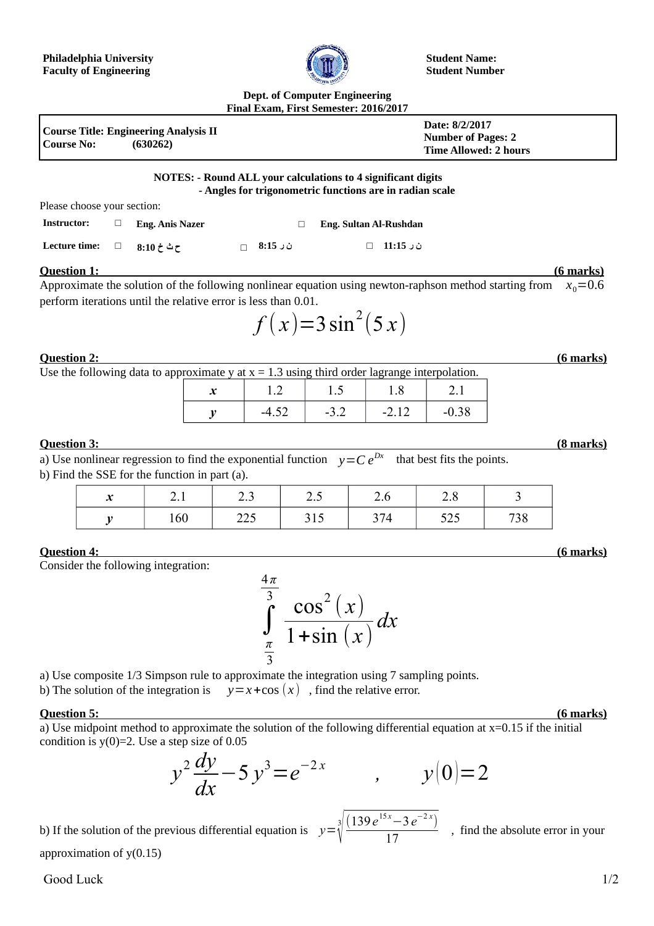

**Student Name: Student Number**

#### **Dept. of Computer Engineering Final Exam, First Semester: 2016/2017**

| Course No: | Course Title: Engineering Analysis II<br>(630262) | Date: 8/2/2017<br><b>Number of Pages: 2</b><br>Time Allowed: 2 hours |
|------------|---------------------------------------------------|----------------------------------------------------------------------|
|            |                                                   |                                                                      |

### **NOTES: - Round ALL your calculations to 4 significant digits - Angles for trigonometric functions are in radian scale**

Please choose your section:

| Instructor:          | Eng. Anis Nazer |               | Eng. Sultan Al-Rushdan |
|----------------------|-----------------|---------------|------------------------|
| <b>Lecture time:</b> | ح ث خ 10:8      | $\Box$ 8:15 ن | ن ر 11:15 □            |

# **Question 1: (6 marks)**

Approximate the solution of the following nonlinear equation using newton-raphson method starting from  $x_0$ =0.6 perform iterations until the relative error is less than 0.01.

$$
f(x)=3\sin^2(5x)
$$

### **Question 2: (6 marks)**

Use the following data to approximate y at  $x = 1.3$  using third order lagrange interpolation.

|         | 1.J    | $\cdots$ |         |
|---------|--------|----------|---------|
| $-4.52$ | $-3.2$ | $-2.12$  | $-0.38$ |

# **Question 3: (8 marks)**

a) Use nonlinear regression to find the exponential function  $\quad y\!=\!C\,e^{Dx} \quad$  that best fits the points. b) Find the SSE for the function in part (a).

| $\bullet$<br>$\boldsymbol{\mathcal{N}}$ | $\sim$ .1 | ر . ب         | $\overline{v}$ | $\sim$<br>$\mathcal{L}$ .0 | $\sim$ . $\circ$ |           |
|-----------------------------------------|-----------|---------------|----------------|----------------------------|------------------|-----------|
|                                         | 160       | へへよ<br>ں کے ک | 313            | 374<br>3/4                 | 505<br>ر ∠ر      | 720<br>38 |

# **Question 4: (6 marks)**

Consider the following integration:

∫ *π* 3 4*π*  $\int_0^3 \cos^2(x)$  $1 + \sin(x)$ *dx*

a) Use composite 1/3 Simpson rule to approximate the integration using 7 sampling points.

b) The solution of the integration is  $y=x+\cos(x)$ , find the relative error.

#### **Question 5: (6 marks)**

a) Use midpoint method to approximate the solution of the following differential equation at x=0.15 if the initial condition is  $y(0)=2$ . Use a step size of 0.05

$$
y^2 \frac{dy}{dx} - 5 y^3 = e^{-2x} \qquad , \qquad y(0) = 2
$$

√

 $(139e^{15x}-3e^{-2x})$ 

b) If the solution of the previous differential equation is  $y = \sqrt[3]{\frac{3}{2}}$ 

 $\frac{17}{17}$ , find the absolute error in your

approximation of y(0.15)

# Good Luck 1/2